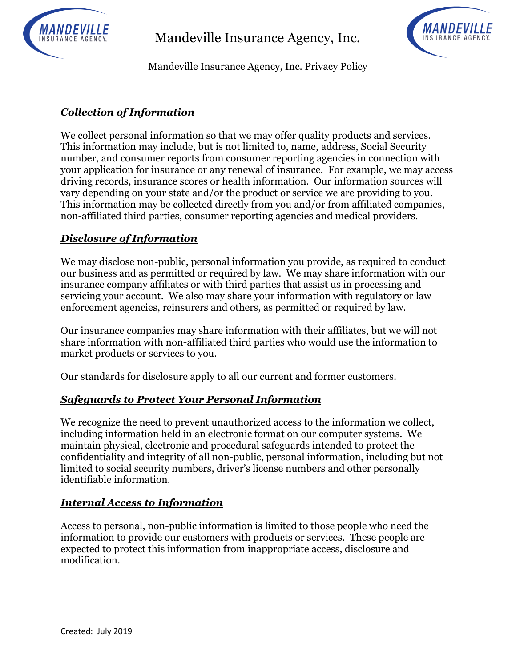

Mandeville Insurance Agency, Inc.



Mandeville Insurance Agency, Inc. Privacy Policy

# *Collection of Information*

We collect personal information so that we may offer quality products and services. This information may include, but is not limited to, name, address, Social Security number, and consumer reports from consumer reporting agencies in connection with your application for insurance or any renewal of insurance. For example, we may access driving records, insurance scores or health information. Our information sources will vary depending on your state and/or the product or service we are providing to you. This information may be collected directly from you and/or from affiliated companies, non-affiliated third parties, consumer reporting agencies and medical providers.

## *Disclosure of Information*

We may disclose non-public, personal information you provide, as required to conduct our business and as permitted or required by law. We may share information with our insurance company affiliates or with third parties that assist us in processing and servicing your account. We also may share your information with regulatory or law enforcement agencies, reinsurers and others, as permitted or required by law.

Our insurance companies may share information with their affiliates, but we will not share information with non-affiliated third parties who would use the information to market products or services to you.

Our standards for disclosure apply to all our current and former customers.

### *Safeguards to Protect Your Personal Information*

We recognize the need to prevent unauthorized access to the information we collect, including information held in an electronic format on our computer systems. We maintain physical, electronic and procedural safeguards intended to protect the confidentiality and integrity of all non-public, personal information, including but not limited to social security numbers, driver's license numbers and other personally identifiable information.

### *Internal Access to Information*

Access to personal, non-public information is limited to those people who need the information to provide our customers with products or services. These people are expected to protect this information from inappropriate access, disclosure and modification.